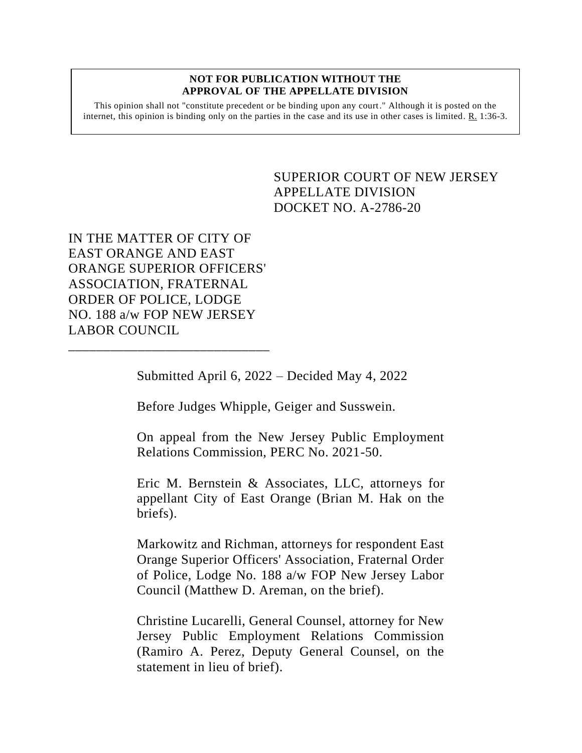## **NOT FOR PUBLICATION WITHOUT THE APPROVAL OF THE APPELLATE DIVISION**

This opinion shall not "constitute precedent or be binding upon any court." Although it is posted on the internet, this opinion is binding only on the parties in the case and its use in other cases is limited.  $R_1$  1:36-3.

> SUPERIOR COURT OF NEW JERSEY APPELLATE DIVISION DOCKET NO. A-2786-20

IN THE MATTER OF CITY OF EAST ORANGE AND EAST ORANGE SUPERIOR OFFICERS' ASSOCIATION, FRATERNAL ORDER OF POLICE, LODGE NO. 188 a/w FOP NEW JERSEY LABOR COUNCIL

\_\_\_\_\_\_\_\_\_\_\_\_\_\_\_\_\_\_\_\_\_\_\_\_\_\_\_\_\_

Submitted April 6, 2022 – Decided May 4, 2022

Before Judges Whipple, Geiger and Susswein.

On appeal from the New Jersey Public Employment Relations Commission, PERC No. 2021-50.

Eric M. Bernstein & Associates, LLC, attorneys for appellant City of East Orange (Brian M. Hak on the briefs).

Markowitz and Richman, attorneys for respondent East Orange Superior Officers' Association, Fraternal Order of Police, Lodge No. 188 a/w FOP New Jersey Labor Council (Matthew D. Areman, on the brief).

Christine Lucarelli, General Counsel, attorney for New Jersey Public Employment Relations Commission (Ramiro A. Perez, Deputy General Counsel, on the statement in lieu of brief).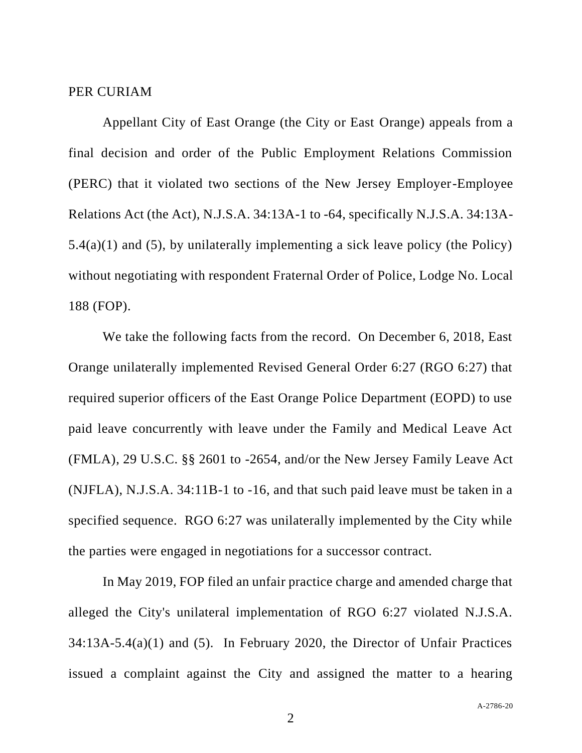## PER CURIAM

Appellant City of East Orange (the City or East Orange) appeals from a final decision and order of the Public Employment Relations Commission (PERC) that it violated two sections of the New Jersey Employer-Employee Relations Act (the Act), N.J.S.A. 34:13A-1 to -64, specifically N.J.S.A. 34:13A-5.4(a)(1) and (5), by unilaterally implementing a sick leave policy (the Policy) without negotiating with respondent Fraternal Order of Police, Lodge No. Local 188 (FOP).

We take the following facts from the record. On December 6, 2018, East Orange unilaterally implemented Revised General Order 6:27 (RGO 6:27) that required superior officers of the East Orange Police Department (EOPD) to use paid leave concurrently with leave under the Family and Medical Leave Act (FMLA), 29 U.S.C. §§ 2601 to -2654, and/or the New Jersey Family Leave Act (NJFLA), N.J.S.A. 34:11B-1 to -16, and that such paid leave must be taken in a specified sequence. RGO 6:27 was unilaterally implemented by the City while the parties were engaged in negotiations for a successor contract.

In May 2019, FOP filed an unfair practice charge and amended charge that alleged the City's unilateral implementation of RGO 6:27 violated N.J.S.A. 34:13A-5.4(a)(1) and (5). In February 2020, the Director of Unfair Practices issued a complaint against the City and assigned the matter to a hearing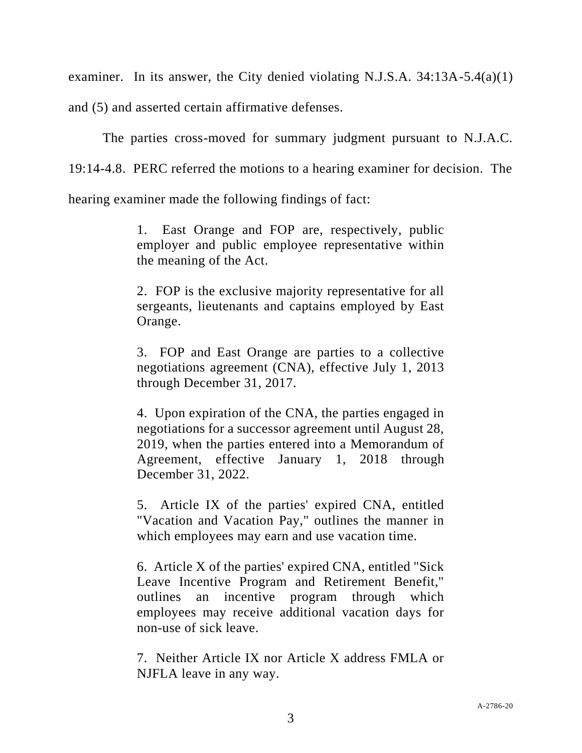examiner. In its answer, the City denied violating N.J.S.A.  $34:13A-5.4(a)(1)$ 

and (5) and asserted certain affirmative defenses.

The parties cross-moved for summary judgment pursuant to N.J.A.C.

19:14-4.8. PERC referred the motions to a hearing examiner for decision. The

hearing examiner made the following findings of fact:

1. East Orange and FOP are, respectively, public employer and public employee representative within the meaning of the Act.

2. FOP is the exclusive majority representative for all sergeants, lieutenants and captains employed by East Orange.

3. FOP and East Orange are parties to a collective negotiations agreement (CNA), effective July 1, 2013 through December 31, 2017.

4. Upon expiration of the CNA, the parties engaged in negotiations for a successor agreement until August 28, 2019, when the parties entered into a Memorandum of Agreement, effective January 1, 2018 through December 31, 2022.

5. Article IX of the parties' expired CNA, entitled "Vacation and Vacation Pay," outlines the manner in which employees may earn and use vacation time.

6. Article X of the parties' expired CNA, entitled "Sick Leave Incentive Program and Retirement Benefit," outlines an incentive program through which employees may receive additional vacation days for non-use of sick leave.

7. Neither Article IX nor Article X address FMLA or NJFLA leave in any way.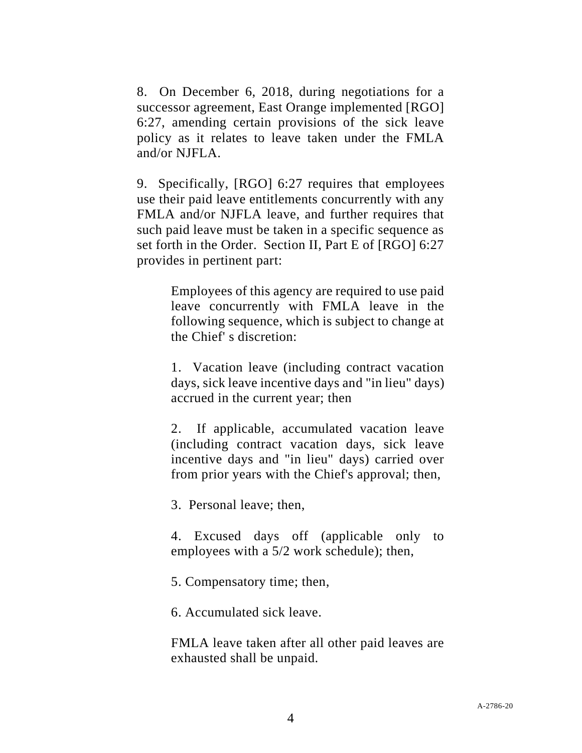8. On December 6, 2018, during negotiations for a successor agreement, East Orange implemented [RGO] 6:27, amending certain provisions of the sick leave policy as it relates to leave taken under the FMLA and/or NJFLA.

9. Specifically, [RGO] 6:27 requires that employees use their paid leave entitlements concurrently with any FMLA and/or NJFLA leave, and further requires that such paid leave must be taken in a specific sequence as set forth in the Order. Section II, Part E of [RGO] 6:27 provides in pertinent part:

> Employees of this agency are required to use paid leave concurrently with FMLA leave in the following sequence, which is subject to change at the Chief' s discretion:

> 1. Vacation leave (including contract vacation days, sick leave incentive days and "in lieu" days) accrued in the current year; then

> 2. If applicable, accumulated vacation leave (including contract vacation days, sick leave incentive days and "in lieu" days) carried over from prior years with the Chief's approval; then,

3. Personal leave; then,

4. Excused days off (applicable only to employees with a 5/2 work schedule); then,

5. Compensatory time; then,

6. Accumulated sick leave.

FMLA leave taken after all other paid leaves are exhausted shall be unpaid.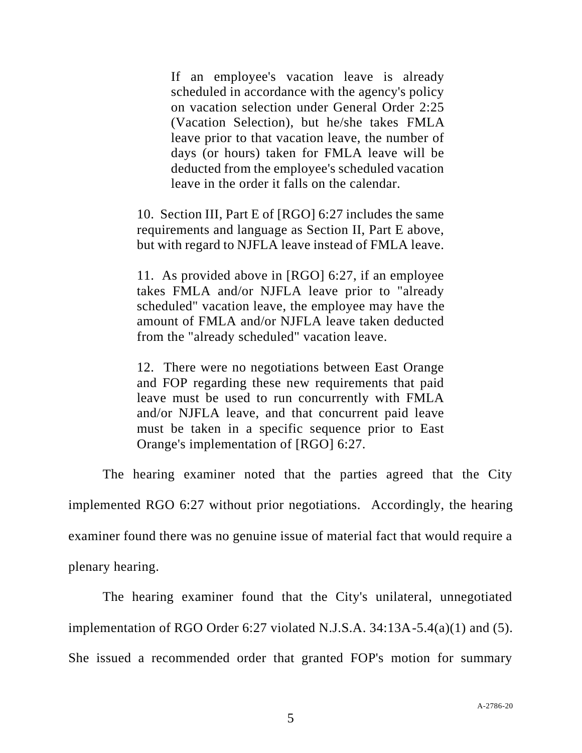If an employee's vacation leave is already scheduled in accordance with the agency's policy on vacation selection under General Order 2:25 (Vacation Selection), but he/she takes FMLA leave prior to that vacation leave, the number of days (or hours) taken for FMLA leave will be deducted from the employee's scheduled vacation leave in the order it falls on the calendar.

10. Section III, Part E of [RGO] 6:27 includes the same requirements and language as Section II, Part E above, but with regard to NJFLA leave instead of FMLA leave.

11. As provided above in [RGO] 6:27, if an employee takes FMLA and/or NJFLA leave prior to "already scheduled" vacation leave, the employee may have the amount of FMLA and/or NJFLA leave taken deducted from the "already scheduled" vacation leave.

12. There were no negotiations between East Orange and FOP regarding these new requirements that paid leave must be used to run concurrently with FMLA and/or NJFLA leave, and that concurrent paid leave must be taken in a specific sequence prior to East Orange's implementation of [RGO] 6:27.

The hearing examiner noted that the parties agreed that the City implemented RGO 6:27 without prior negotiations. Accordingly, the hearing examiner found there was no genuine issue of material fact that would require a plenary hearing.

The hearing examiner found that the City's unilateral, unnegotiated implementation of RGO Order 6:27 violated N.J.S.A. 34:13A-5.4(a)(1) and (5). She issued a recommended order that granted FOP's motion for summary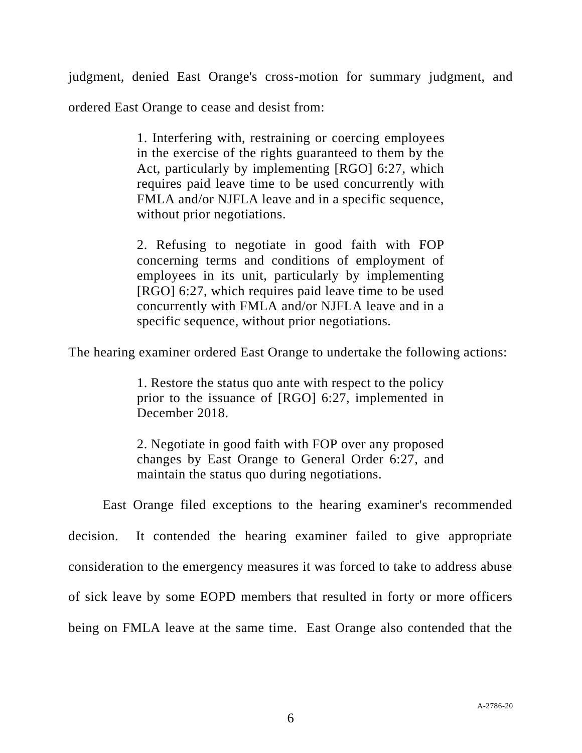judgment, denied East Orange's cross-motion for summary judgment, and

ordered East Orange to cease and desist from:

1. Interfering with, restraining or coercing employees in the exercise of the rights guaranteed to them by the Act, particularly by implementing [RGO] 6:27, which requires paid leave time to be used concurrently with FMLA and/or NJFLA leave and in a specific sequence, without prior negotiations.

2. Refusing to negotiate in good faith with FOP concerning terms and conditions of employment of employees in its unit, particularly by implementing [RGO] 6:27, which requires paid leave time to be used concurrently with FMLA and/or NJFLA leave and in a specific sequence, without prior negotiations.

The hearing examiner ordered East Orange to undertake the following actions:

1. Restore the status quo ante with respect to the policy prior to the issuance of [RGO] 6:27, implemented in December 2018.

2. Negotiate in good faith with FOP over any proposed changes by East Orange to General Order 6:27, and maintain the status quo during negotiations.

East Orange filed exceptions to the hearing examiner's recommended decision. It contended the hearing examiner failed to give appropriate consideration to the emergency measures it was forced to take to address abuse of sick leave by some EOPD members that resulted in forty or more officers being on FMLA leave at the same time. East Orange also contended that the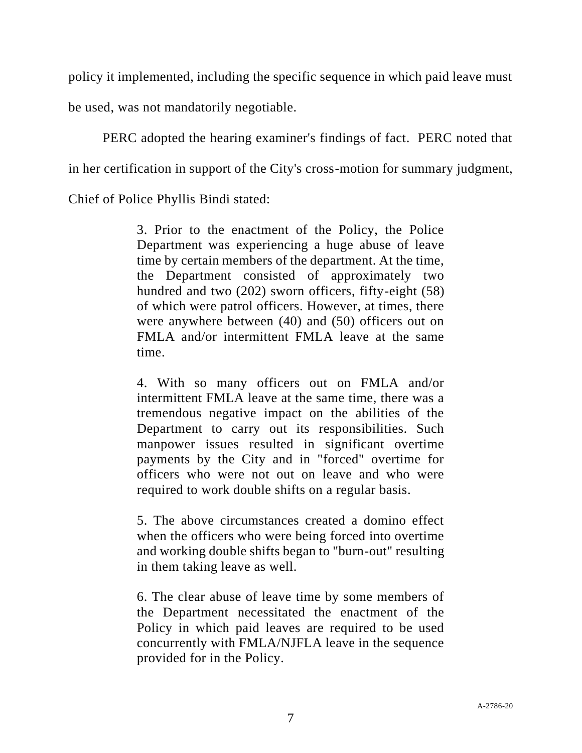policy it implemented, including the specific sequence in which paid leave must

be used, was not mandatorily negotiable.

PERC adopted the hearing examiner's findings of fact. PERC noted that in her certification in support of the City's cross-motion for summary judgment, Chief of Police Phyllis Bindi stated:

> 3. Prior to the enactment of the Policy, the Police Department was experiencing a huge abuse of leave time by certain members of the department. At the time, the Department consisted of approximately two hundred and two (202) sworn officers, fifty-eight (58) of which were patrol officers. However, at times, there were anywhere between (40) and (50) officers out on FMLA and/or intermittent FMLA leave at the same time.

> 4. With so many officers out on FMLA and/or intermittent FMLA leave at the same time, there was a tremendous negative impact on the abilities of the Department to carry out its responsibilities. Such manpower issues resulted in significant overtime payments by the City and in "forced" overtime for officers who were not out on leave and who were required to work double shifts on a regular basis.

> 5. The above circumstances created a domino effect when the officers who were being forced into overtime and working double shifts began to "burn-out" resulting in them taking leave as well.

> 6. The clear abuse of leave time by some members of the Department necessitated the enactment of the Policy in which paid leaves are required to be used concurrently with FMLA/NJFLA leave in the sequence provided for in the Policy.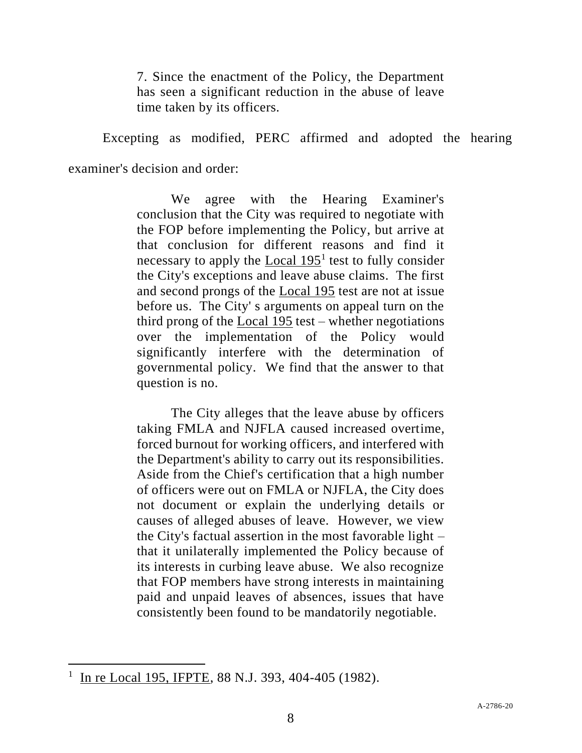7. Since the enactment of the Policy, the Department has seen a significant reduction in the abuse of leave time taken by its officers.

Excepting as modified, PERC affirmed and adopted the hearing examiner's decision and order:

> We agree with the Hearing Examiner's conclusion that the City was required to negotiate with the FOP before implementing the Policy, but arrive at that conclusion for different reasons and find it necessary to apply the  $Local 195<sup>1</sup>$  test to fully consider</u> the City's exceptions and leave abuse claims. The first and second prongs of the Local 195 test are not at issue before us. The City' s arguments on appeal turn on the third prong of the Local 195 test – whether negotiations over the implementation of the Policy would significantly interfere with the determination of governmental policy. We find that the answer to that question is no.

> The City alleges that the leave abuse by officers taking FMLA and NJFLA caused increased overtime, forced burnout for working officers, and interfered with the Department's ability to carry out its responsibilities. Aside from the Chief's certification that a high number of officers were out on FMLA or NJFLA, the City does not document or explain the underlying details or causes of alleged abuses of leave. However, we view the City's factual assertion in the most favorable light – that it unilaterally implemented the Policy because of its interests in curbing leave abuse. We also recognize that FOP members have strong interests in maintaining paid and unpaid leaves of absences, issues that have consistently been found to be mandatorily negotiable.

 $1 \text{ In } \text{re Local } 195, \text{ IFPTE}, 88 \text{ N.J. } 393, 404-405 \text{ (1982)}.$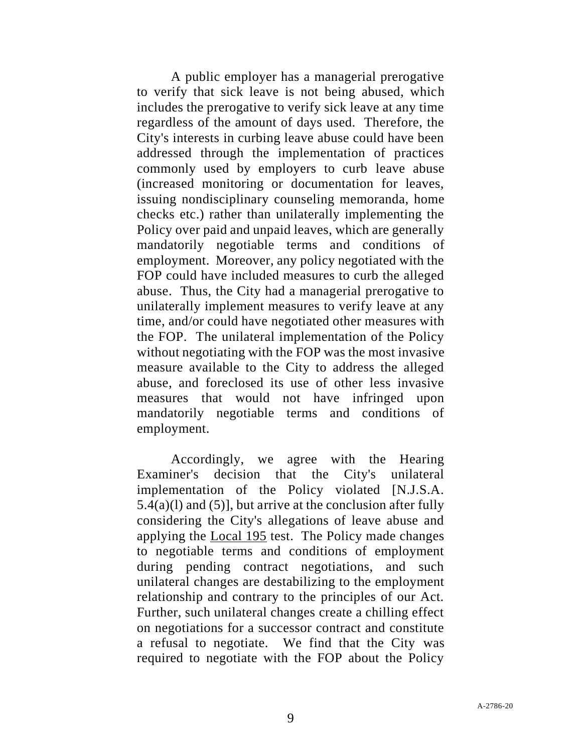A public employer has a managerial prerogative to verify that sick leave is not being abused, which includes the prerogative to verify sick leave at any time regardless of the amount of days used. Therefore, the City's interests in curbing leave abuse could have been addressed through the implementation of practices commonly used by employers to curb leave abuse (increased monitoring or documentation for leaves, issuing nondisciplinary counseling memoranda, home checks etc.) rather than unilaterally implementing the Policy over paid and unpaid leaves, which are generally mandatorily negotiable terms and conditions of employment. Moreover, any policy negotiated with the FOP could have included measures to curb the alleged abuse. Thus, the City had a managerial prerogative to unilaterally implement measures to verify leave at any time, and/or could have negotiated other measures with the FOP. The unilateral implementation of the Policy without negotiating with the FOP was the most invasive measure available to the City to address the alleged abuse, and foreclosed its use of other less invasive measures that would not have infringed upon mandatorily negotiable terms and conditions of employment.

Accordingly, we agree with the Hearing Examiner's decision that the City's unilateral implementation of the Policy violated [N.J.S.A.  $5.4(a)(1)$  and  $(5)$ ], but arrive at the conclusion after fully considering the City's allegations of leave abuse and applying the Local 195 test. The Policy made changes to negotiable terms and conditions of employment during pending contract negotiations, and such unilateral changes are destabilizing to the employment relationship and contrary to the principles of our Act. Further, such unilateral changes create a chilling effect on negotiations for a successor contract and constitute a refusal to negotiate. We find that the City was required to negotiate with the FOP about the Policy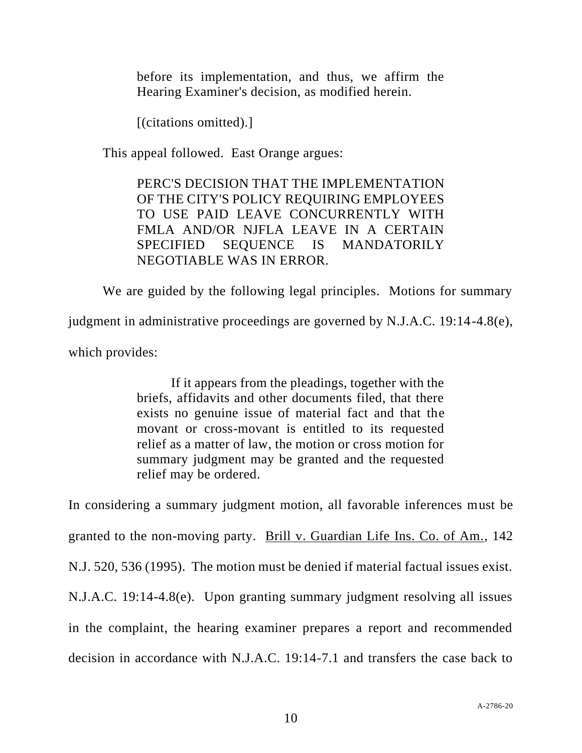before its implementation, and thus, we affirm the Hearing Examiner's decision, as modified herein.

[(citations omitted).]

This appeal followed. East Orange argues:

PERC'S DECISION THAT THE IMPLEMENTATION OF THE CITY'S POLICY REQUIRING EMPLOYEES TO USE PAID LEAVE CONCURRENTLY WITH FMLA AND/OR NJFLA LEAVE IN A CERTAIN SPECIFIED SEQUENCE IS MANDATORILY NEGOTIABLE WAS IN ERROR.

We are guided by the following legal principles. Motions for summary

judgment in administrative proceedings are governed by N.J.A.C. 19:14-4.8(e),

which provides:

If it appears from the pleadings, together with the briefs, affidavits and other documents filed, that there exists no genuine issue of material fact and that the movant or cross-movant is entitled to its requested relief as a matter of law, the motion or cross motion for summary judgment may be granted and the requested relief may be ordered.

In considering a summary judgment motion, all favorable inferences must be granted to the non-moving party. Brill v. Guardian Life Ins. Co. of Am., 142 N.J. 520, 536 (1995). The motion must be denied if material factual issues exist. N.J.A.C. 19:14-4.8(e). Upon granting summary judgment resolving all issues in the complaint, the hearing examiner prepares a report and recommended decision in accordance with N.J.A.C. 19:14-7.1 and transfers the case back to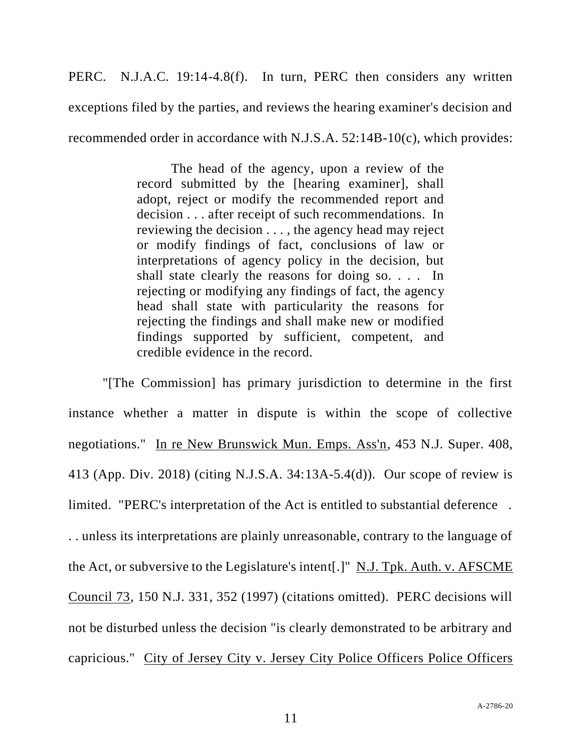PERC. N.J.A.C. 19:14-4.8(f). In turn, PERC then considers any written exceptions filed by the parties, and reviews the hearing examiner's decision and recommended order in accordance with N.J.S.A. 52:14B-10(c), which provides:

> The head of the agency, upon a review of the record submitted by the [hearing examiner], shall adopt, reject or modify the recommended report and decision . . . after receipt of such recommendations. In reviewing the decision . . . , the agency head may reject or modify findings of fact, conclusions of law or interpretations of agency policy in the decision, but shall state clearly the reasons for doing so. . . . In rejecting or modifying any findings of fact, the agency head shall state with particularity the reasons for rejecting the findings and shall make new or modified findings supported by sufficient, competent, and credible evidence in the record.

"[The Commission] has primary jurisdiction to determine in the first instance whether a matter in dispute is within the scope of collective negotiations." In re New Brunswick Mun. Emps. Ass'n, 453 N.J. Super. 408, 413 (App. Div. 2018) (citing N.J.S.A. 34:13A-5.4(d)). Our scope of review is limited. "PERC's interpretation of the Act is entitled to substantial deference . . . unless its interpretations are plainly unreasonable, contrary to the language of the Act, or subversive to the Legislature's intent[.]" N.J. Tpk. Auth. v. AFSCME Council 73, 150 N.J. 331, 352 (1997) (citations omitted). PERC decisions will not be disturbed unless the decision "is clearly demonstrated to be arbitrary and capricious." City of Jersey City v. Jersey City Police Officers Police Officers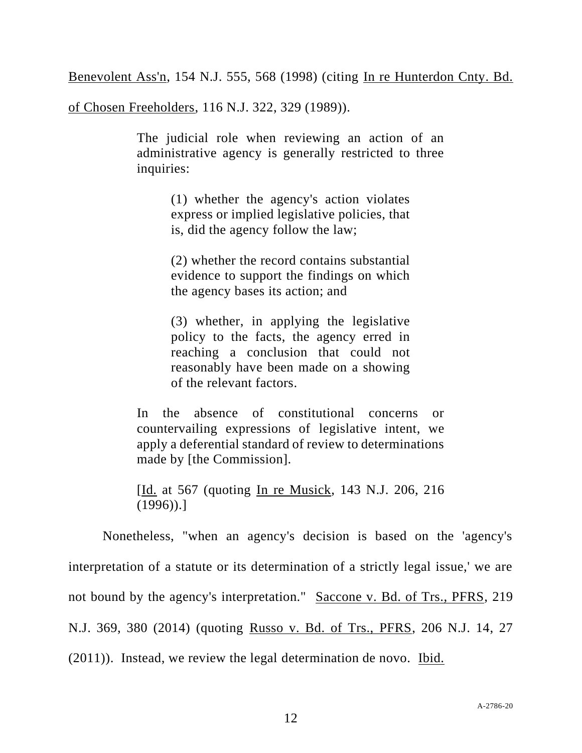Benevolent Ass'n, 154 N.J. 555, 568 (1998) (citing In re Hunterdon Cnty. Bd.

of Chosen Freeholders, 116 N.J. 322, 329 (1989)).

The judicial role when reviewing an action of an administrative agency is generally restricted to three inquiries:

> (1) whether the agency's action violates express or implied legislative policies, that is, did the agency follow the law;

> (2) whether the record contains substantial evidence to support the findings on which the agency bases its action; and

> (3) whether, in applying the legislative policy to the facts, the agency erred in reaching a conclusion that could not reasonably have been made on a showing of the relevant factors.

In the absence of constitutional concerns or countervailing expressions of legislative intent, we apply a deferential standard of review to determinations made by [the Commission].

[Id. at 567 (quoting In re Musick, 143 N.J. 206, 216 (1996)).]

Nonetheless, "when an agency's decision is based on the 'agency's interpretation of a statute or its determination of a strictly legal issue,' we are not bound by the agency's interpretation." Saccone v. Bd. of Trs., PFRS, 219 N.J. 369, 380 (2014) (quoting Russo v. Bd. of Trs., PFRS, 206 N.J. 14, 27 (2011)). Instead, we review the legal determination de novo. Ibid.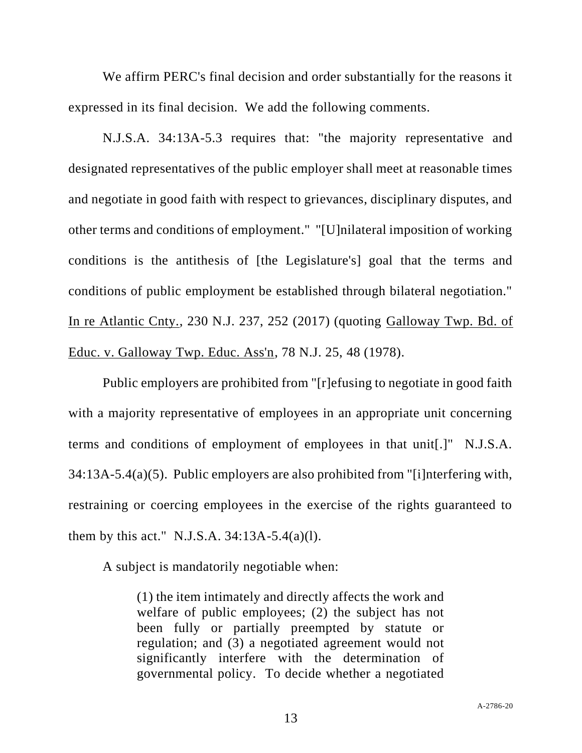We affirm PERC's final decision and order substantially for the reasons it expressed in its final decision. We add the following comments.

N.J.S.A. 34:13A-5.3 requires that: "the majority representative and designated representatives of the public employer shall meet at reasonable times and negotiate in good faith with respect to grievances, disciplinary disputes, and other terms and conditions of employment." "[U]nilateral imposition of working conditions is the antithesis of [the Legislature's] goal that the terms and conditions of public employment be established through bilateral negotiation." In re Atlantic Cnty., 230 N.J. 237, 252 (2017) (quoting Galloway Twp. Bd. of Educ. v. Galloway Twp. Educ. Ass'n, 78 N.J. 25, 48 (1978).

Public employers are prohibited from "[r]efusing to negotiate in good faith with a majority representative of employees in an appropriate unit concerning terms and conditions of employment of employees in that unit[.]" N.J.S.A. 34:13A-5.4(a)(5). Public employers are also prohibited from "[i]nterfering with, restraining or coercing employees in the exercise of the rights guaranteed to them by this act." N.J.S.A.  $34:13A-5.4(a)(1)$ .

A subject is mandatorily negotiable when:

(1) the item intimately and directly affects the work and welfare of public employees; (2) the subject has not been fully or partially preempted by statute or regulation; and (3) a negotiated agreement would not significantly interfere with the determination of governmental policy. To decide whether a negotiated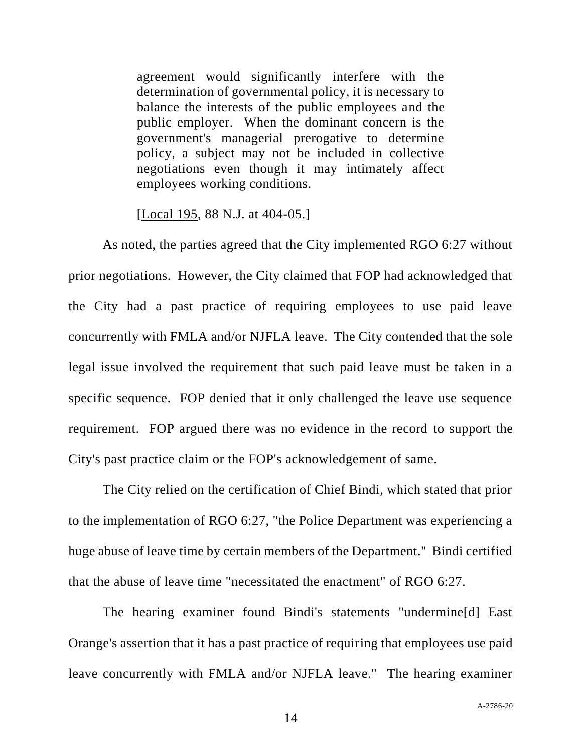agreement would significantly interfere with the determination of governmental policy, it is necessary to balance the interests of the public employees and the public employer. When the dominant concern is the government's managerial prerogative to determine policy, a subject may not be included in collective negotiations even though it may intimately affect employees working conditions.

[Local 195, 88 N.J. at 404-05.]

As noted, the parties agreed that the City implemented RGO 6:27 without prior negotiations. However, the City claimed that FOP had acknowledged that the City had a past practice of requiring employees to use paid leave concurrently with FMLA and/or NJFLA leave. The City contended that the sole legal issue involved the requirement that such paid leave must be taken in a specific sequence. FOP denied that it only challenged the leave use sequence requirement. FOP argued there was no evidence in the record to support the City's past practice claim or the FOP's acknowledgement of same.

The City relied on the certification of Chief Bindi, which stated that prior to the implementation of RGO 6:27, "the Police Department was experiencing a huge abuse of leave time by certain members of the Department." Bindi certified that the abuse of leave time "necessitated the enactment" of RGO 6:27.

The hearing examiner found Bindi's statements "undermine[d] East Orange's assertion that it has a past practice of requiring that employees use paid leave concurrently with FMLA and/or NJFLA leave." The hearing examiner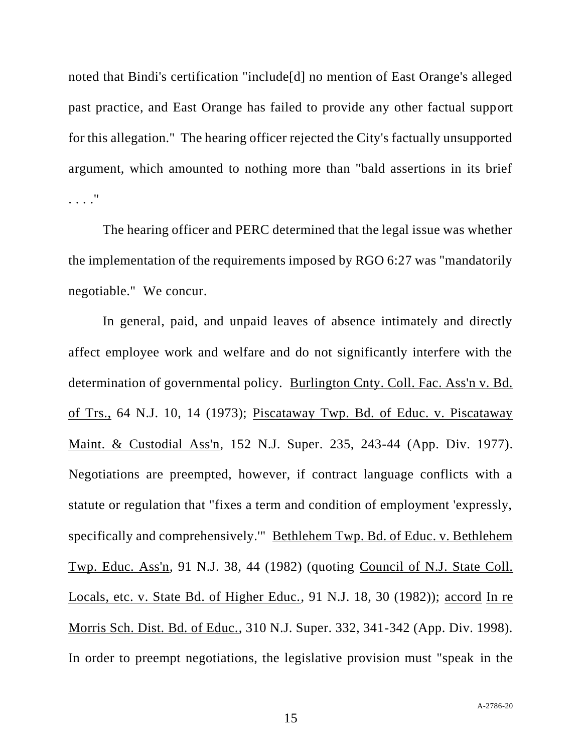noted that Bindi's certification "include[d] no mention of East Orange's alleged past practice, and East Orange has failed to provide any other factual support for this allegation." The hearing officer rejected the City's factually unsupported argument, which amounted to nothing more than "bald assertions in its brief . . . ."

The hearing officer and PERC determined that the legal issue was whether the implementation of the requirements imposed by RGO 6:27 was "mandatorily negotiable." We concur.

In general, paid, and unpaid leaves of absence intimately and directly affect employee work and welfare and do not significantly interfere with the determination of governmental policy. Burlington Cnty. Coll. Fac. Ass'n v. Bd. of Trs., 64 N.J. 10, 14 (1973); Piscataway Twp. Bd. of Educ. v. Piscataway Maint. & Custodial Ass'n, 152 N.J. Super. 235, 243-44 (App. Div. 1977). Negotiations are preempted, however, if contract language conflicts with a statute or regulation that "fixes a term and condition of employment 'expressly, specifically and comprehensively.'" Bethlehem Twp. Bd. of Educ. v. Bethlehem Twp. Educ. Ass'n, 91 N.J. 38, 44 (1982) (quoting Council of N.J. State Coll. Locals, etc. v. State Bd. of Higher Educ., 91 N.J. 18, 30 (1982)); accord In re Morris Sch. Dist. Bd. of Educ., 310 N.J. Super. 332, 341-342 (App. Div. 1998). In order to preempt negotiations, the legislative provision must "speak in the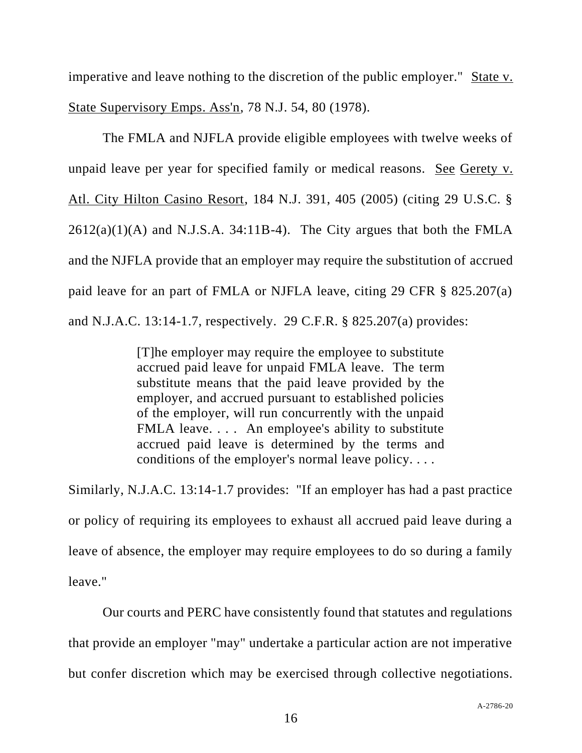imperative and leave nothing to the discretion of the public employer." State v. State Supervisory Emps. Ass'n, 78 N.J. 54, 80 (1978).

The FMLA and NJFLA provide eligible employees with twelve weeks of unpaid leave per year for specified family or medical reasons. See Gerety v. Atl. City Hilton Casino Resort, 184 N.J. 391, 405 (2005) (citing 29 U.S.C. §  $2612(a)(1)(A)$  and N.J.S.A. 34:11B-4). The City argues that both the FMLA and the NJFLA provide that an employer may require the substitution of accrued paid leave for an part of FMLA or NJFLA leave, citing 29 CFR § 825.207(a) and N.J.A.C. 13:14-1.7, respectively. 29 C.F.R. § 825.207(a) provides:

> [T]he employer may require the employee to substitute accrued paid leave for unpaid FMLA leave. The term substitute means that the paid leave provided by the employer, and accrued pursuant to established policies of the employer, will run concurrently with the unpaid FMLA leave.... An employee's ability to substitute accrued paid leave is determined by the terms and conditions of the employer's normal leave policy. . . .

Similarly, N.J.A.C. 13:14-1.7 provides: "If an employer has had a past practice or policy of requiring its employees to exhaust all accrued paid leave during a leave of absence, the employer may require employees to do so during a family leave."

Our courts and PERC have consistently found that statutes and regulations that provide an employer "may" undertake a particular action are not imperative but confer discretion which may be exercised through collective negotiations.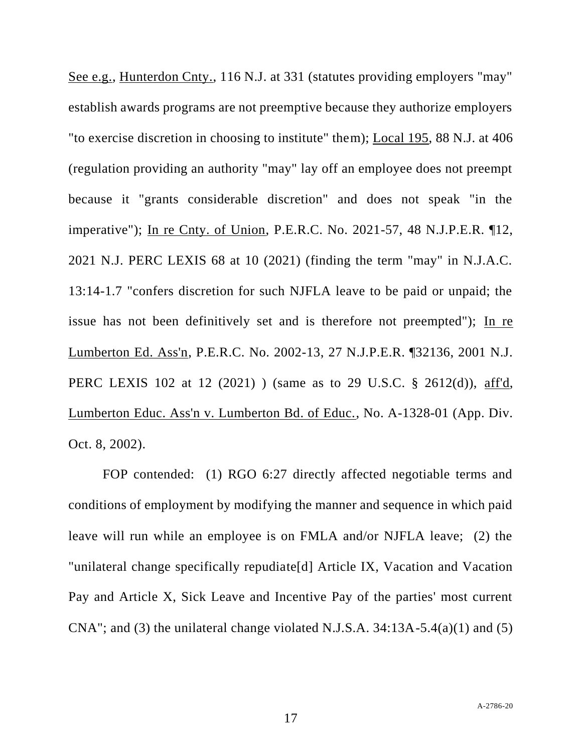See e.g., Hunterdon Cnty., 116 N.J. at 331 (statutes providing employers "may" establish awards programs are not preemptive because they authorize employers "to exercise discretion in choosing to institute" them); Local 195, 88 N.J. at 406 (regulation providing an authority "may" lay off an employee does not preempt because it "grants considerable discretion" and does not speak "in the imperative"); In re Cnty. of Union, P.E.R.C. No. 2021-57, 48 N.J.P.E.R. ¶12, 2021 N.J. PERC LEXIS 68 at 10 (2021) (finding the term "may" in N.J.A.C. 13:14-1.7 "confers discretion for such NJFLA leave to be paid or unpaid; the issue has not been definitively set and is therefore not preempted"); In re Lumberton Ed. Ass'n, P.E.R.C. No. 2002-13, 27 N.J.P.E.R. ¶32136, 2001 N.J. PERC LEXIS 102 at 12 (2021) ) (same as to 29 U.S.C. § 2612(d)), aff'd, Lumberton Educ. Ass'n v. Lumberton Bd. of Educ., No. A-1328-01 (App. Div. Oct. 8, 2002).

FOP contended: (1) RGO 6:27 directly affected negotiable terms and conditions of employment by modifying the manner and sequence in which paid leave will run while an employee is on FMLA and/or NJFLA leave; (2) the "unilateral change specifically repudiate[d] Article IX, Vacation and Vacation Pay and Article X, Sick Leave and Incentive Pay of the parties' most current CNA"; and (3) the unilateral change violated N.J.S.A.  $34:13A-5.4(a)(1)$  and (5)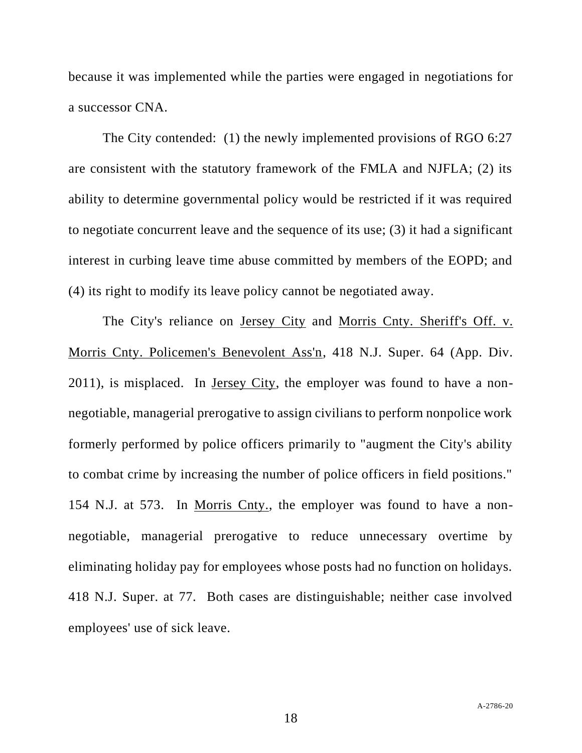because it was implemented while the parties were engaged in negotiations for a successor CNA.

The City contended: (1) the newly implemented provisions of RGO 6:27 are consistent with the statutory framework of the FMLA and NJFLA; (2) its ability to determine governmental policy would be restricted if it was required to negotiate concurrent leave and the sequence of its use; (3) it had a significant interest in curbing leave time abuse committed by members of the EOPD; and (4) its right to modify its leave policy cannot be negotiated away.

The City's reliance on Jersey City and Morris Cnty. Sheriff's Off. v. Morris Cnty. Policemen's Benevolent Ass'n, 418 N.J. Super. 64 (App. Div. 2011), is misplaced. In Jersey City, the employer was found to have a nonnegotiable, managerial prerogative to assign civilians to perform nonpolice work formerly performed by police officers primarily to "augment the City's ability to combat crime by increasing the number of police officers in field positions." 154 N.J. at 573. In Morris Cnty., the employer was found to have a nonnegotiable, managerial prerogative to reduce unnecessary overtime by eliminating holiday pay for employees whose posts had no function on holidays. 418 N.J. Super. at 77. Both cases are distinguishable; neither case involved employees' use of sick leave.

18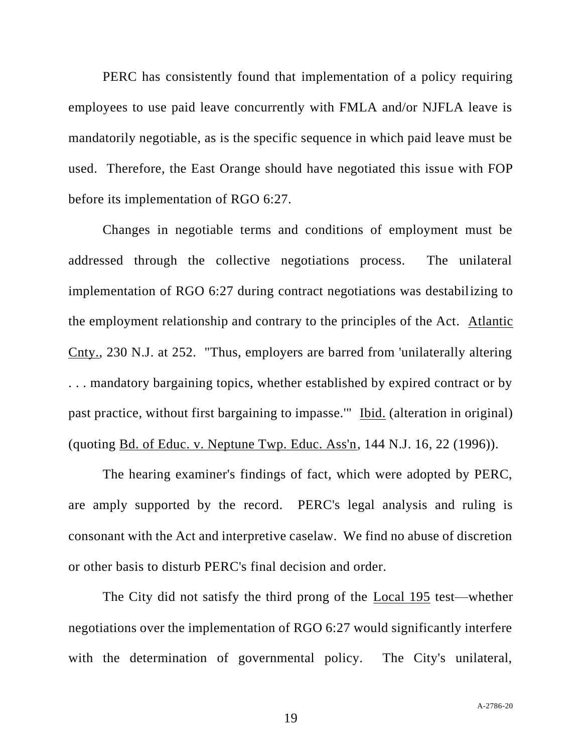PERC has consistently found that implementation of a policy requiring employees to use paid leave concurrently with FMLA and/or NJFLA leave is mandatorily negotiable, as is the specific sequence in which paid leave must be used. Therefore, the East Orange should have negotiated this issue with FOP before its implementation of RGO 6:27.

Changes in negotiable terms and conditions of employment must be addressed through the collective negotiations process. The unilateral implementation of RGO 6:27 during contract negotiations was destabilizing to the employment relationship and contrary to the principles of the Act. Atlantic Cnty., 230 N.J. at 252. "Thus, employers are barred from 'unilaterally altering . . . mandatory bargaining topics, whether established by expired contract or by past practice, without first bargaining to impasse.'" Ibid. (alteration in original) (quoting Bd. of Educ. v. Neptune Twp. Educ. Ass'n, 144 N.J. 16, 22 (1996)).

The hearing examiner's findings of fact, which were adopted by PERC, are amply supported by the record. PERC's legal analysis and ruling is consonant with the Act and interpretive caselaw. We find no abuse of discretion or other basis to disturb PERC's final decision and order.

The City did not satisfy the third prong of the Local 195 test—whether negotiations over the implementation of RGO 6:27 would significantly interfere with the determination of governmental policy. The City's unilateral,